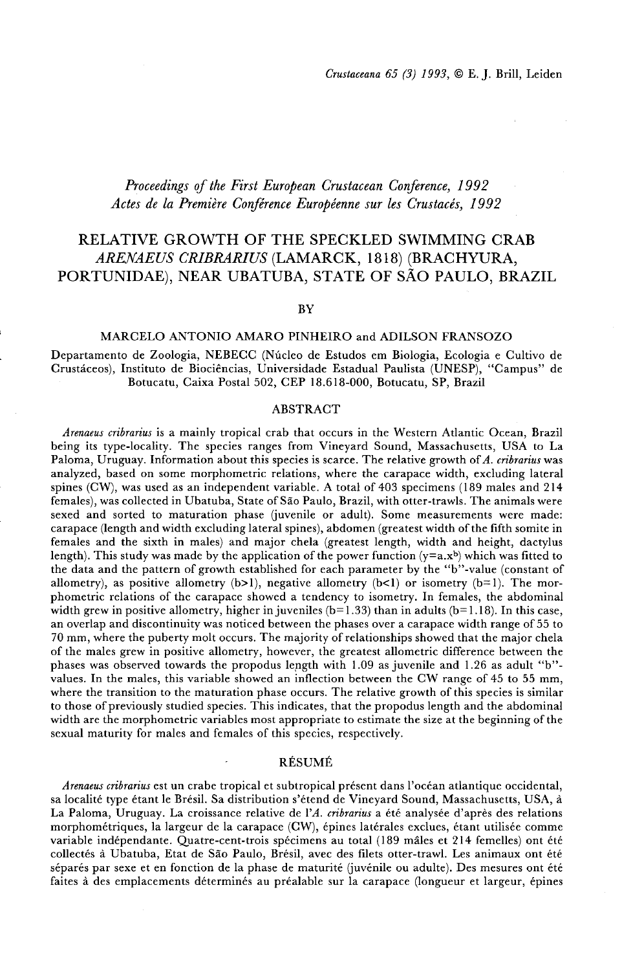# *Proceedings* if*the First European Crustacean Conference, <sup>1992</sup> Actes de la Premiere Coriference Europeenne sur les Crustaces, 1992*

# RELATIVE GROWTH OF THE SPECKLED SWIMMING CRAB *ARENAEUS CRIBRARIUS* (LAMARCK, 1818) (BRACHYURA, PORTUNIDAE), NEAR UBATUBA, STATE OF sAo PAULO, BRAZIL

### BY

#### MARCELO ANTONIO AMARO PINHEIRO and ADILSON FRANSOZO

Departamento de Zoologia, NEBECC (Nucleo de Estudos em Biologia, Ecologia e Cultivo de Crustaceos), Instituto de Biociencias, Universidade Estadual Paulista (UNESP), "Campus" de Botucatu, Caixa Postal 502, CEP 18.618-000, Botucatu, SP, Brazil

#### ABSTRACT

*Arenaeus cribrarius* is a mainly tropical crab that occurs in the Western Atlantic Ocean, Brazil being its type-locality. The species ranges from Vineyard Sound, Massachusetts, USA to La Paloma, Uruguay. Information about this species is scarce. The relative growth of*A. cribrarius* was analyzed, based on some morphometric relations, where the carapace width, excluding lateral spines (CW), was used as an independent variable. A total of 403 specimens (189 males and 214 females), was collected in Ubatuba, State of Sao Paulo, Brazil, with otter-trawls. The animals were sexed and sorted to maturation phase (juvenile or adult). Some measurements were made: carapace (length and width excluding lateral spines), abdomen (greatest width ofthe fifth somite in females and the sixth in males) and major chela (greatest length, width and height, dactylus length). This study was made by the application of the power function  $(y=a.x^b)$  which was fitted to the data and the pattern of growth established for each parameter by the "b"-value (constant of allometry), as positive allometry  $(b>1)$ , negative allometry  $(b<1)$  or isometry  $(b=1)$ . The morphometric relations of the carapace showed a tendency to isometry. In females, the abdominal width grew in positive allometry, higher in juveniles  $(b=1.33)$  than in adults  $(b=1.18)$ . In this case, an overlap and discontinuity was noticed between the phases over a carapace width range of 55 to 70 mm, where the puberty molt occurs. The majority of relationships showed that the major chela of the males grew in positive allometry, however, the greatest allometric difference between the phases was observed towards the propodus length with  $1.09$  as juvenile and  $1.26$  as adult "b"values. In the males, this variable showed an inflection between the CW range of 45 to 55 mm, where the transition to the maturation phase occurs. The relative growth of this species is similar to those of previously studied species. This indicates, that the propodus length and the abdominal width are the morphometric variables most appropriate to estimate the size at the beginning of the sexual maturity for males and females of this species, respectively.

#### RESUME

*Arenaeus cribrarius* est un crabe tropical et subtropical present dans I'ocean atlantique occidental, sa localité type étant le Brésil. Sa distribution s'étend de Vineyard Sound, Massachusetts, USA, à La Paloma, Uruguay. La croissance relative de *l'A. cribrarius* a été analysée d'après des relations morphométriques, la largeur de la carapace (CW), épines latérales exclues, étant utilisée comme variable indépendante. Quatre-cent-trois spécimens au total (189 mâles et 214 femelles) ont été collectés à Ubatuba, Etat de São Paulo, Brésil, avec des filets otter-trawl. Les animaux ont été séparés par sexe et en fonction de la phase de maturité (juvénile ou adulte). Des mesures ont été faites a des emplacements determines au prealable sur la carapace (longueur et largeur, epines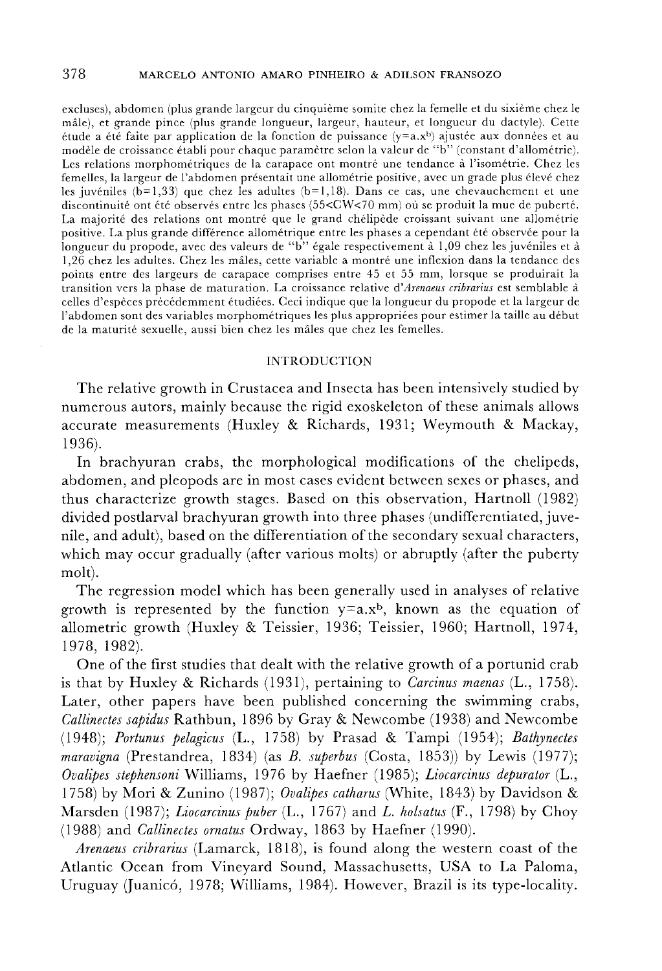#### 378 MARCELO ANTONIO AMARO PINHEIRO & ADILSON FRANSOZO

excluses), abdomen (plus grande largeur du cinquième somite chez la femelle et du sixième chez le male), et grande pinee (plus grande longueur, largeur, hauteur, et longueur du dactyle). Cette étude a été faite par application de la fonction de puissance  $(y=a.x^b)$  ajustée aux données et au modèle de croissance établi pour chaque paramètre selon la valeur de "b" (constant d'allométrie). Les relations morphométriques de la carapace ont montré une tendance à l'isométrie. Chez les femelles, la largeur de l'abdomen présentait une allométrie positive, avec un grade plus élevé chez les juvéniles (b=1,33) que chez les adultes (b=1,18). Dans ce cas, une chevauchement et une discontinuité ont été observés entre les phases (55<CW<70 mm) où se produit la mue de puberté. La majorité des relations ont montré que le grand chélipède croissant suivant une allométrie positive. La plus grande différence allométrique entre les phases a cependant été observée pour la longueur du propode, avec des valeurs de "b" égale respectivement à 1,09 chez les juvéniles et à 1,26 chez les adultes. Chez les males, cette variable a montre une inflexion dans la tendance des points entre des largeurs de carapace comprises entre 45 et 55 mm, lorsque se produirait la transition vers la phase de maturation. La croissance relative d'Arenaeus cribrarius est semblable à celles d'especes precedemment etudiees. Ceci indique que la longueur du propode et la largeur de l'abdomen sont des variables morphométriques les plus appropriées pour estimer la taille au début de la maturité sexuelle, aussi bien chez les mâles que chez les femelles.

## INTRODUCTION

The relative growth in Crustacea and Insecta has been intensively studied by numerous autors, mainly because the rigid exoskeleton of these animals allows accurate measurements (Huxley & Richards, 1931; Weymouth & Mackay, 1936).

**In** brachyuran crabs, the morphological modifications of the chelipeds, abdomen, and pleopods are in most cases evident between sexes or phases, and thus characterize growth stages. Based on this observation, Hartnoll (1982) divided postlarval brachyuran growth into three phases (undifferentiated, juvenile, and adult), based on the differentiation ofthe secondary sexual characters, which may occur gradually (after various molts) or abruptly (after the puberty molt).

The regression model which has been generally used in analyses of relative growth is represented by the function  $y=a.x^b$ , known as the equation of allometric growth (Huxley & Teissier, 1936; Teissier, 1960; Hartnoll, 1974, 1978,1982).

One of the first studies that dealt with the relative growth of a portunid crab is that by Huxley & Richards (1931), pertaining to *Carcinus maenas* (L., 1758). Later, other papers have been published concerning the swimming crabs, *Callinectes sapidus* Rathbun, 1896 by Gray & Newcombe (1938) and Newcombe *(1948); Portunus pelagicus* (L., 1758) by Prasad & Tampi (1954); *Bathynectes maravigna* (Prestandrea, 1834) (as *B. superbus* (Costa, 1853)) by Lewis (1977); *Ovalipes stephensoni* Williams, 1976 by Haefner (1985); *Liocarcinus depurator* (L., 1758) by Mori & Zunino (1987); *Ovalipes catharus* (White, 1843) by Davidson & Marsden (1987); *Liocarcinus puber* (L., 1767) and L. *holsatus* (F., 1798) by Choy (1988) and *Callinectes ornatus* Ordway, 1863 by Haefner (1990).

*Arenaeus cribrarius* (Lamarck, 1818), is found along the western coast of the Atlantic Ocean from Vineyard Sound, Massachusetts, USA to La Paloma, Uruguay (Juanicó, 1978; Williams, 1984). However, Brazil is its type-locality.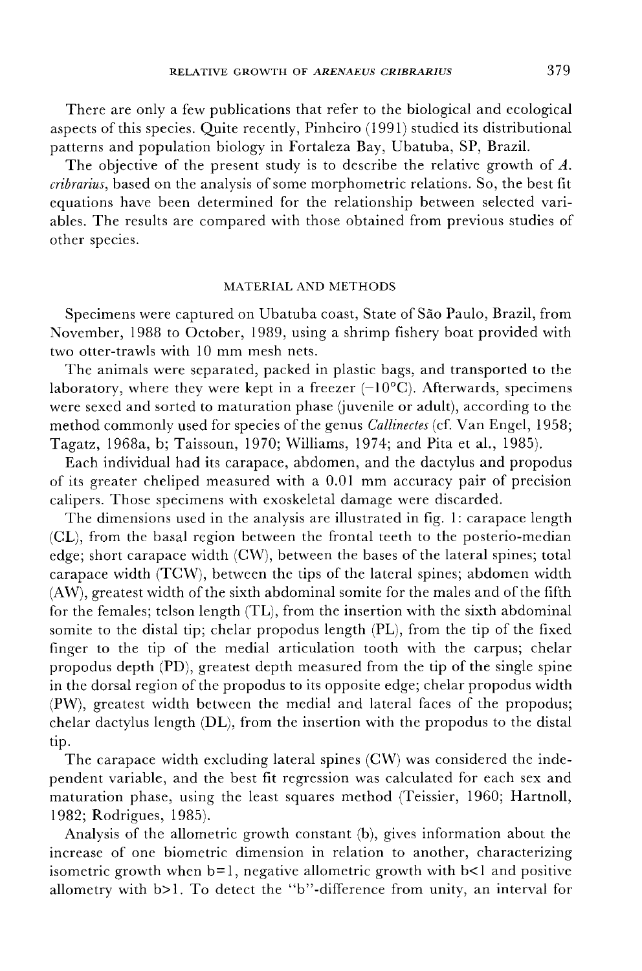There are only a few publications that refer to the biological and ecological aspects of this species. Quite recently, Pinheiro (1991) studied its distributional patterns and population biology in Fortaleza Bay, Ubatuba, SP, Brazil.

The objective of the present study is to describe the relative growth of A. *cribrarius*, based on the analysis of some morphometric relations. So, the best fit equations have been determined for the relationship between selected variables. The results are compared with those obtained from previous studies of other species.

### MATERIAL AND METHODS

Specimens were captured on Ubatuba coast, State of Sao Paulo, Brazil, from November, 1988 to October, 1989, using a shrimp fishery boat provided with two otter-trawls with 10 mm mesh nets.

The animals were separated, packed in plastic bags, and transported to the laboratory, where they were kept in a freezer  $(-10^{\circ}C)$ . Afterwards, specimens were sexed and sorted to maturation phase (juvenile or adult), according to the method commonly used for species of the genus *Callinectes* (cf. Van Engel, 1958; Tagatz, 1968a, b; Taissoun, 1970; Williams, 1974; and Pita et al., 1985).

Each individual had its carapace, abdomen, and the dactylus and propodus of its greater cheliped measured with a 0.01 mm accuracy pair of precision calipers. Those specimens with exoskeletal damage were discarded.

The dimensions used in the analysis are illustrated in fig. 1: carapace length (CL), from the basal region between the frontal teeth to the posterio-median edge; short carapace width (CW), between the bases of the lateral spines; total carapace width (TCW), between the tips of the lateral spines; abdomen width  $(AW)$ , greatest width of the sixth abdominal somite for the males and of the fifth for the females; telson length (TL), from the insertion with the sixth abdominal somite to the distal tip; chelar propodus length (PL), from the tip of the fixed finger to the tip of the medial articulation tooth with the carpus; chelar propodus depth (PD), greatest depth measured from the tip of the single spine in the dorsal region of the propodus to its opposite edge; chelar propodus width (PW), greatest width between the medial and lateral faces of the propodus; chelar dactylus length (DL), from the insertion with the propodus to the distal tip.

The carapace width excluding lateral spines (CW) was considered the independent variable, and the best fit regression was calculated for each sex and maturation phase, using the least squares method (Teissier, 1960; Hartnoll, 1982; Rodrigues, 1985).

Analysis of the allometric growth constant (b), gives information about the increase of one biometric dimension in relation to another, characterizing isometric growth when  $b=1$ , negative allometric growth with  $b<1$  and positive allometry with b>1. To detect the "b"-difference from unity, an interval for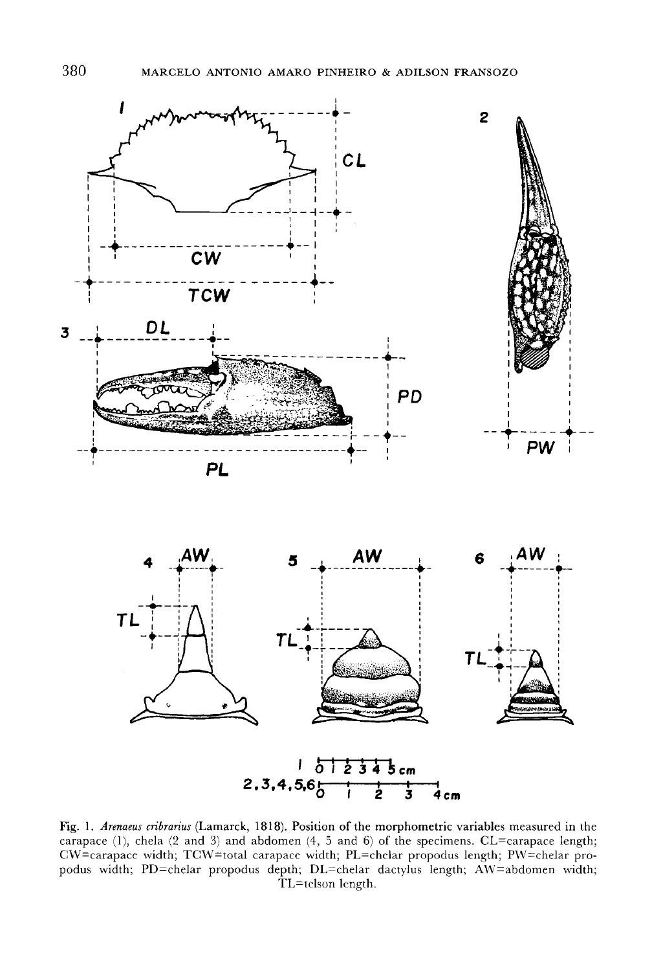

Fig. I. *Arenaeus cribrarius* (Lamarck, 1818). Position of the morphometric variables measured in the carapace (1), chela  $(2 \text{ and } 3)$  and abdomen  $(4, 5 \text{ and } 6)$  of the specimens. CL=carapace length; CW=carapace width; TCW=total carapace width; PL=chelar propodus length; PW=chelar propodus width; PD=chelar propodus depth; DL=chelar dactylus length; AW=abdomen width; TL=tclson length.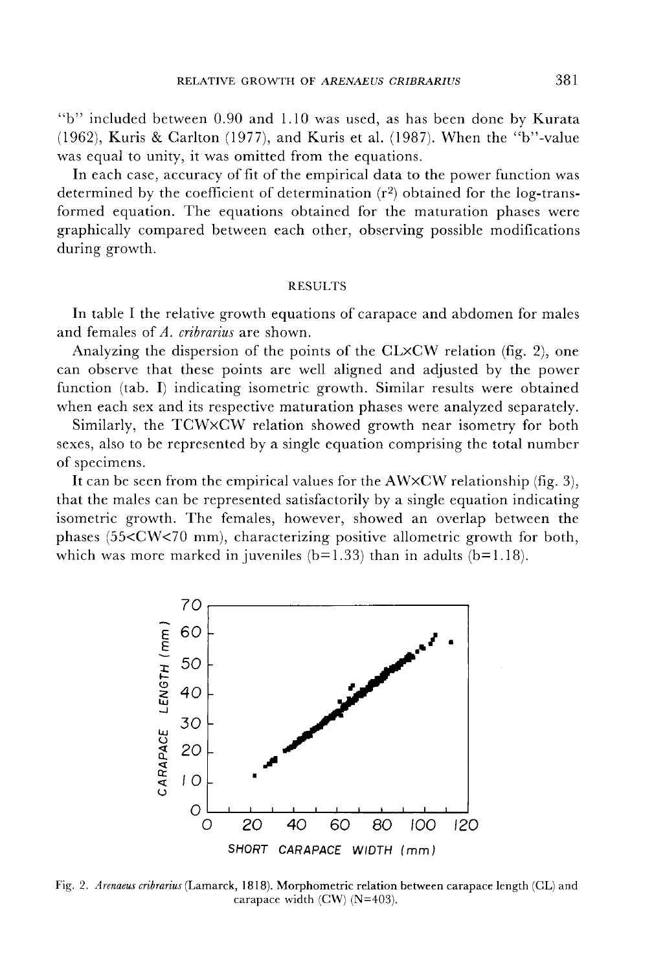"b" included between 0.90 and 1.10 was used, as has been done by Kurata (1962), Kuris & Carlton (1977), and Kuris et al. (1987). When the "b"-value was equal to unity, it was omitted from the equations.

In each case, accuracy of fit of the empirical data to the power function was determined by the coefficient of determination  $(r^2)$  obtained for the log-transformed equation. The equations obtained for the maturation phases were graphically compared between each other, observing possible modifications during growth.

## RESULTS

In table I the relative growth equations of carapace and abdomen for males and females of *A. cribrarius* are shown.

Analyzing the dispersion of the points of the CLxCW relation (fig. 2), one can observe that these points are well aligned and adjusted by the power function (tab. I) indicating isometric growth. Similar results were obtained when each sex and its respective maturation phases were analyzed separately.

Similarly, the TCWxCW relation showed growth near isometry for both sexes, also to be represented by a single equation comprising the total number of specimens.

It can be seen from the empirical values for the  $AWXCW$  relationship (fig. 3), that the males can be represented satisfactorily by a single equation indicating isometric growth. The females, however, showed an overlap between the phases (55<CW<70 mm), characterizing positive allometric growth for both, which was more marked in juveniles  $(b=1.33)$  than in adults  $(b=1.18)$ .



Fig. 2. *Arenaeus cribrarius* (Lamarck, 1818). Morphometric relation between carapace length (CL) and carapace width (CW) (N=403).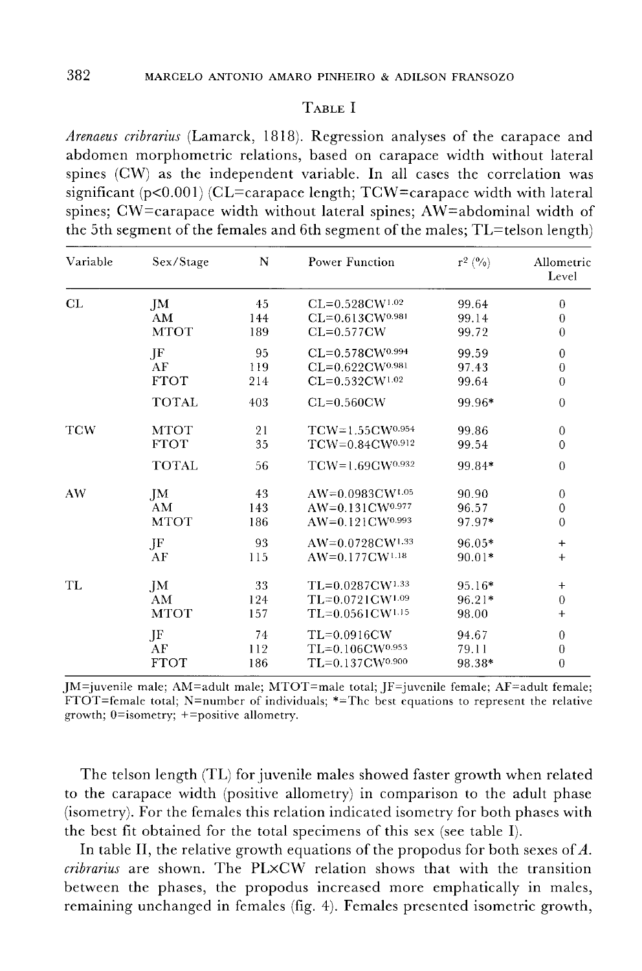# TABLE I

*Arenaeus cribrarius* (Lamarck, 1818). Regression analyses of the carapace and abdomen morphometric relations, based on carapace width without lateral spines (CW) as the independent variable. In all cases the correlation was significant ( $p<0.001$ ) (CL=carapace length; TCW=carapace width with lateral spines; CW=carapace width without lateral spines; AW=abdominal width of the 5th segment of the females and 6th segment of the males; TL=telson length)

| Variable | Sex/Stage    | N   | Power Function                     | $r^2 (0)$ | Allometric<br>Level |
|----------|--------------|-----|------------------------------------|-----------|---------------------|
| CL       | JM           | 45  | $CL=0.528$ CW <sup>1.02</sup>      | 99.64     | $\boldsymbol{0}$    |
|          | AM           | 144 | $CL = 0.613$ CW <sup>0.981</sup>   | 99.14     | $\theta$            |
|          | <b>MTOT</b>  | 189 | $CL=0.577$ CW                      | 99.72     | $\overline{0}$      |
|          | JF           | 95  | CL=0.578CW0.994                    | 99.59     | $\boldsymbol{0}$    |
|          | AF           | 119 | $CL = 0.622$ CW <sup>0.981</sup>   | 97.43     | $\overline{0}$      |
|          | <b>FTOT</b>  | 214 | $CL=0.532$ CW <sup>1.02</sup>      | 99.64     | $\overline{0}$      |
|          | <b>TOTAL</b> | 403 | $CL=0.560CW$                       | 99.96*    | $\overline{0}$      |
| TCW      | MTOT         | 21  | $TCW=1.55CW^{0.954}$               | 99.86     | $\boldsymbol{0}$    |
|          | <b>FTOT</b>  | 35  | TCW=0.84CW0.912                    | 99.54     | $\mathbf{0}$        |
|          | <b>TOTAL</b> | 56  | $TCW=1.69CW^{0.932}$               | 99.84*    | $\mathbf{0}$        |
| AW       | JM           | 43  | $AW=0.0983CW^{1.05}$               | 90.90     | $\mathbf{0}$        |
|          | AM           | 143 | $AW=0.131$ $CW^{0.977}$            | 96.57     | $\mathbf{0}$        |
|          | <b>MTOT</b>  | 186 | $AW=0.121$ CW <sup>0.993</sup>     | 97.97*    | $\overline{0}$      |
|          | JF           | 93  | AW=0.0728CW1.33                    | 96.05*    | $+$                 |
|          | AF           | 115 | $AW=0.177CW^{1.18}$                | 90.01*    | $^{+}$              |
| TL       | JM           | 33  | $TL=0.0287$ CW <sup>1.33</sup>     | $95.16*$  | $+$                 |
|          | AM           | 124 | $TL=0.0721$ CW <sup>1.09</sup>     | 96.21*    | $\boldsymbol{0}$    |
|          | <b>MTOT</b>  | 157 | $TL = 0.0561$ $CW$ <sup>1.15</sup> | 98.00     | $^{+}$              |
|          | JF           | 74  | TL=0.0916CW                        | 94.67     | $\theta$            |
|          | AF           | 112 | $TL = 0.106$ $CW$ <sup>0.953</sup> | 79.11     | $\boldsymbol{0}$    |
|          | <b>FTOT</b>  | 186 | TL=0.137CW0.900                    | 98.38*    | $\overline{0}$      |

JM=juvenile male; AM=adult male; MTOT=male total; JF=juvcnile female; AF=adult female; FTOT=female total; N=number of individuals;  $*=$ The best equations to represent the relative growth; O=isometry; +=positive allometry.

The telson length (TL) for juvenile males showed faster growth when related to the carapace width (positive allometry) in comparison to the adult phase (isometry). For the females this relation indicated isometry for both phases with the best fit obtained for the total specimens of this sex (see table I).

In table II, the relative growth equations of the propodus for both sexes of  $A$ . *cribrarius* are shown. The PLxCW relation shows that with the transition between the phases, the propodus increased more emphatically in males, remaining unchanged in females (fig. 4). Females presented isometric growth,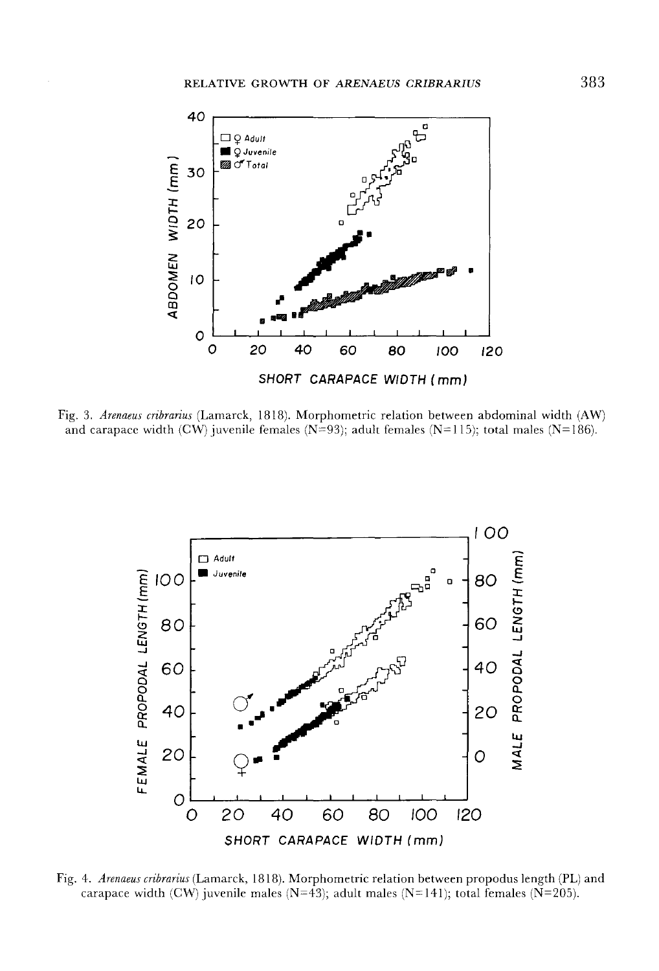

Fig. 3. *Arenaeus cribrarius* (Lamarck, 1818). Morphometric relation between abdominal width (AW) and carapace width (CW) juvenile females (N=93); adult females (N=115); total males (N=186).



Fig. 4. *Arenaeus cribrarius* (Lamarck, 1818). Morphometric relation between propodus length (PL) and carapace width (CW) juvenile males (N=43); adult males (N=141); total females (N=205).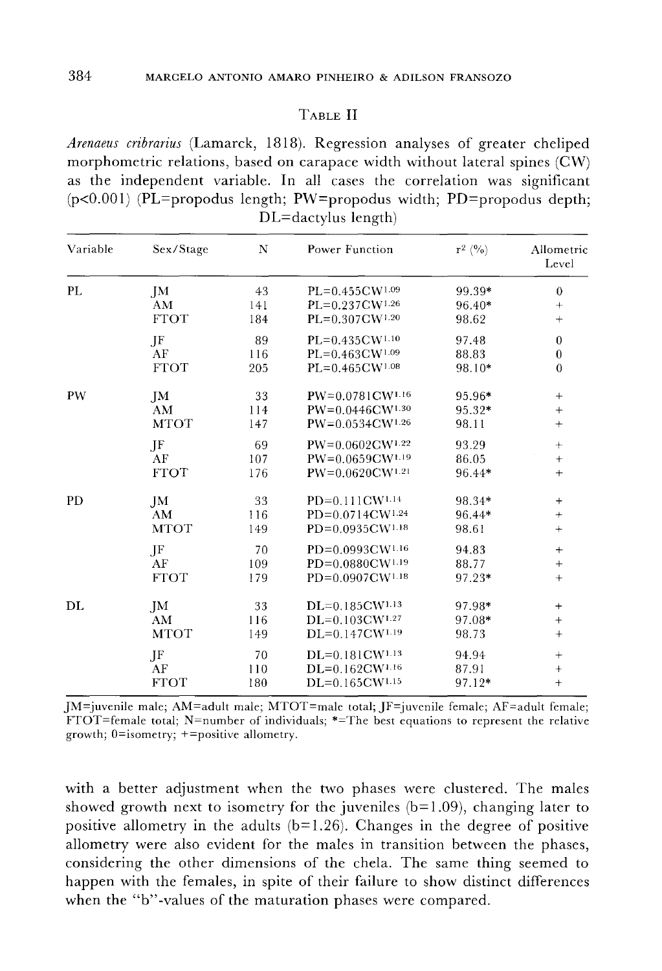## TABLE II

*Arenaeus cribrarius* (Lamarck, 1818). Regression analyses of greater cheliped morphometric relations, based on carapace width without lateral spines (CW) as the independent variable. In all cases the correlation was significant  $(p<0.001)$  (PL=propodus length; PW=propodus width; PD=propodus depth; DL=dactylus length)

| Variable  | Sex/Stage              | N   | Power Function                 | $r^2$ (%) | Allometric<br>Level |
|-----------|------------------------|-----|--------------------------------|-----------|---------------------|
| PL        | JМ                     | 43  | $PL=0.455CW^{1.09}$            | 99.39*    | $\boldsymbol{0}$    |
|           | AM                     | 141 | $PL=0.237$ CW <sup>1.26</sup>  | 96.40*    | $+$                 |
|           | <b>FTOT</b>            | 184 | PL=0.307CW1.20                 | 98.62     | $^{+}$              |
|           | JF                     | 89  | $PL=0.435CW^{1.10}$            | 97.48     | $\theta$            |
|           | AF                     | 116 | $PL=0.463$ CW <sup>1.09</sup>  | 88.83     | $\boldsymbol{0}$    |
|           | <b>FTOT</b>            | 205 | $PL=0.465$ CW <sup>1.08</sup>  | 98.10*    | $\overline{0}$      |
| PW        | JM                     | 33  | PW=0.0781CW1.16                | 95.96*    | $+$                 |
|           | AM                     | 114 | $PW=0.0446$ CW <sup>1.30</sup> | $95.32*$  | $^{+}$              |
|           | <b>MTOT</b>            | 147 | $PW=0.0534CW^{1.26}$           | 98.11     | $+$                 |
|           | JF                     | 69  | $PW=0.0602 \text{CW}^{1.22}$   | 93.29     | $\boldsymbol{+}$    |
|           | AF                     | 107 | PW=0.0659CW1.19                | 86.05     | $+$                 |
|           | <b>FTOT</b>            | 176 | $PW=0.0620$ CW <sup>1.21</sup> | 96.44*    | $+$                 |
| <b>PD</b> | JM                     | 33  | PD=0.111CW1.14                 | 98.34*    | $\! + \!\!\!\!$     |
|           | $\mathbf{A}\mathbf{M}$ | 116 | PD=0.0714CW1.24                | 96.44*    | $\! + \!$           |
|           | <b>MTOT</b>            | 149 | PD=0.0935CW1.18                | 98.61     |                     |
|           | JF                     | 70  | PD=0.0993CW1.16                | 94.83     | $+$                 |
|           | AF                     | 109 | PD=0.0880CW1.19                | 88.77     | $\qquad \qquad +$   |
|           | <b>FTOT</b>            | 179 | PD=0.0907CW1.18                | 97.23*    | $+$                 |
| DL        | JM                     | 33  | $DL=0.185CW^{1.13}$            | 97.98*    |                     |
|           | AM                     | 116 | $DL=0.103$ CW <sup>1.27</sup>  | 97.08*    | $^{+}$              |
|           | <b>MTOT</b>            | 149 | $DL=0.147$ CW <sup>1.19</sup>  | 98.73     | $^{+}$              |
|           | JF                     | 70  | DL=0.181CW1.13                 | 94.94     |                     |
|           | AF                     | 110 | $DL=0.162$ CW <sup>1.16</sup>  | 87.91     | $+$                 |
|           | <b>FTOT</b>            | 180 | $DL=0.165$ CW <sup>1.15</sup>  | 97.12*    | $+$                 |

JM=juvenile male; AM=adult male; MTOT=male total; JF=juvenile female; AF=adult female; FTOT=female total; N=number of individuals; \*=The best equations to represent the relative growth; O=isometry; +=positive allometry.

with a better adjustment when the two phases were clustered. The males showed growth next to isometry for the juveniles  $(b=1.09)$ , changing later to positive allometry in the adults  $(b=1.26)$ . Changes in the degree of positive allometry were also evident for the males in transition between the phases, considering the other dimensions of the chela. The same thing seemed to happen with the females, in spite of their failure to show distinct differences when the "b"-values of the maturation phases were compared.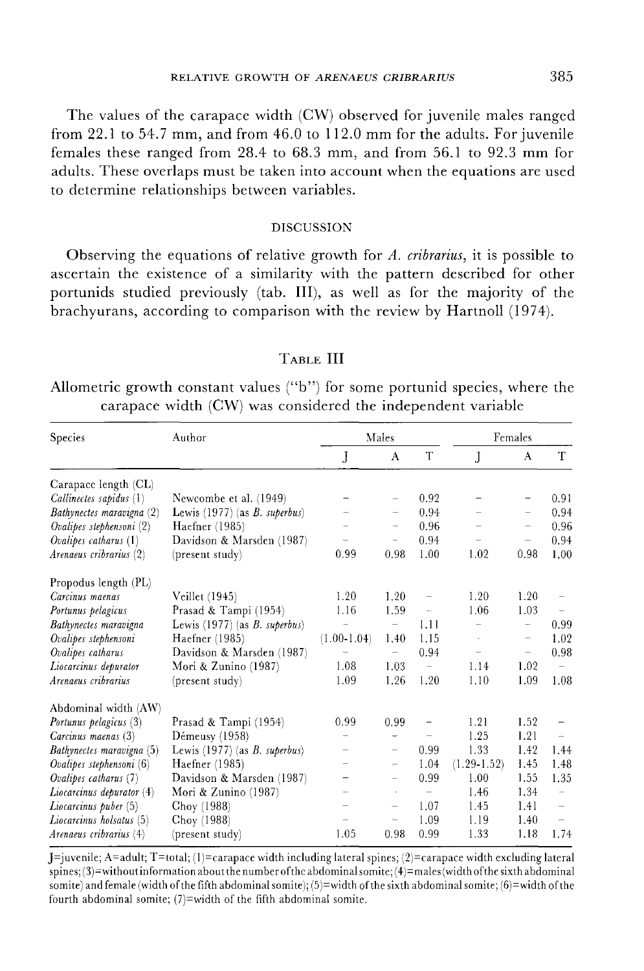The values of the carapace width (CW) observed for juvenile males ranged from 22.1 to 54.7 mm, and from 46.0 to 112.0 mm for the adults. For juvenile females these ranged from 28.4 to 68.3 mm, and from 56.1 to 92.3 mm for adults. These overlaps must be taken into account when the equations are used to determine relationships between variables.

### DISCUSSION

Observing the equations of relative growth for *A. cribrarius,* it is possible to ascertain the existence of a similarity with the pattern described for other portunids studied previously (tab. III), as well as for the majority of the brachyurans, according to comparison with the review by Hartnoll (1974).

## TABLE **III**

Allometric growth constant values ("b") for some portunid species, where the carapace width (CW) was considered the independent variable

| Species                       | Author                                  | Males                    |                          |                          | Females                  |                          |                          |
|-------------------------------|-----------------------------------------|--------------------------|--------------------------|--------------------------|--------------------------|--------------------------|--------------------------|
|                               |                                         | J                        | A                        | T                        | J                        | A                        | T                        |
| Carapace length (CL)          |                                         |                          |                          |                          |                          |                          |                          |
| Callinectes sapidus (1)       | Newcombe et al. (1949)                  |                          | $\overline{\phantom{0}}$ | 0.92                     | $\qquad \qquad -$        | -                        | 0.91                     |
| Bathynectes maravigna (2)     | Lewis (1977) (as B. superbus)           |                          | -                        | 0.94                     | $\overline{\phantom{0}}$ | $\overline{\phantom{0}}$ | 0.94                     |
| Ovalipes stephensoni (2)      | Haefner (1985)                          |                          | $\overline{\phantom{0}}$ | 0.96                     |                          | $\overline{\phantom{0}}$ | 0.96                     |
| Ovalipes catharus $(1)$       | Davidson & Marsden (1987)               | $\qquad \qquad -$        | $\overline{\phantom{0}}$ | 0.94                     |                          | $\overline{\phantom{0}}$ | 0.94                     |
| Arenaeus cribrarius (2)       | (present study)                         | 0.99                     | 0.98                     | 1.00                     | 1,02                     | 0.98                     | 1.00                     |
| Propodus length (PL)          |                                         |                          |                          |                          |                          |                          |                          |
| Carcinus maenas               | Veillet (1945)                          | 1.20                     | 1.20                     | $\qquad \qquad -$        | 1.20                     | 1.20                     |                          |
| Portunus pelagicus            | Prasad & Tampi (1954)                   | 1.16                     | 1.59                     | $\overline{\phantom{a}}$ | 1.06                     | 1.03                     |                          |
| Bathynectes maravigna         | Lewis $(1977)$ (as <i>B. superbus</i> ) |                          | $\overline{\phantom{a}}$ | 1.11                     |                          | $\frac{1}{2}$            | 0.99                     |
| Ovalipes stephensoni          | Haefner (1985)                          | $(1.00-1.04)$            | 1.40                     | 1.15                     | à.                       | $\overline{\phantom{0}}$ | 1.02                     |
| Ovalipes catharus             | Davidson & Marsden (1987)               |                          |                          | 0.94                     | $\overline{\phantom{0}}$ | $\qquad \qquad -$        | 0.98                     |
| Liocarcinus depurator         | Mori & Zunino (1987)                    | 1.08                     | 1.03                     | $\overline{\phantom{a}}$ | 1.14                     | 1.02                     |                          |
| Arenaeus cribrarius           | (present study)                         | 1.09                     | 1.26                     | 1.20                     | 1.10                     | 1.09                     | 1.08                     |
| Abdominal width (AW)          |                                         |                          |                          |                          |                          |                          |                          |
| Portunus pelagicus (3)        | Prasad & Tampi (1954)                   | 0.99                     | 0.99                     | $\qquad \qquad -$        | 1.21                     | 1.52                     |                          |
| Carcinus maenas (3)           | Démeusy $(1958)$                        |                          | -                        |                          | 1.25                     | 1.21                     |                          |
| Bathynectes maravigna (5)     | Lewis $(1977)$ (as <i>B. superbus</i> ) | $\overline{\phantom{0}}$ | $\overline{\phantom{m}}$ | 0.99                     | 1.33                     | 1.42                     | 1.44                     |
| Ovalipes stephensoni (6)      | Haefner (1985)                          |                          | $\qquad \qquad -$        | 1.04                     | $(1.29 - 1.52)$          | 1.45                     | 1.48                     |
| Ovalipes catharus $(7)$       | Davidson & Marsden (1987)               |                          | $\overline{\phantom{0}}$ | 0.99                     | 1.00                     | 1.55                     | 1.35                     |
| $Liocarcinus$ depurator $(4)$ | Mori & Zunino (1987)                    |                          |                          | $\overline{\phantom{0}}$ | 1.46                     | 1.34                     | $\overline{\phantom{a}}$ |
| Liocarcinus puber (5)         | Choy (1988)                             | $\overline{\phantom{0}}$ |                          | 1.07                     | 1.45                     | 1.41                     |                          |
| Liocarcinus holsatus (5)      | Choy (1988)                             |                          | $\qquad \qquad -$        | 1.09                     | 1.19                     | 1.40                     | $\overline{\phantom{0}}$ |
| Arenaeus cribrarius (4)       | (present study)                         | 1.05                     | 0.98                     | 0.99                     | 1.33                     | 1.18                     | 1.74                     |

 $J=$ juvenile; A=adult; T=total; (1)=carapace width including lateral spines; (2)=carapace width excluding lateral spines; (3)=without information about the number ofthe abdominalsomite; (4)=males(width ofthe sixth abdominal somite) and female (width of the fifth abdominal somite); (5)=width of the sixth abdominal somite; (6)=width of the fourth abdominal somite; (7)=width of the fifth abdominal somite.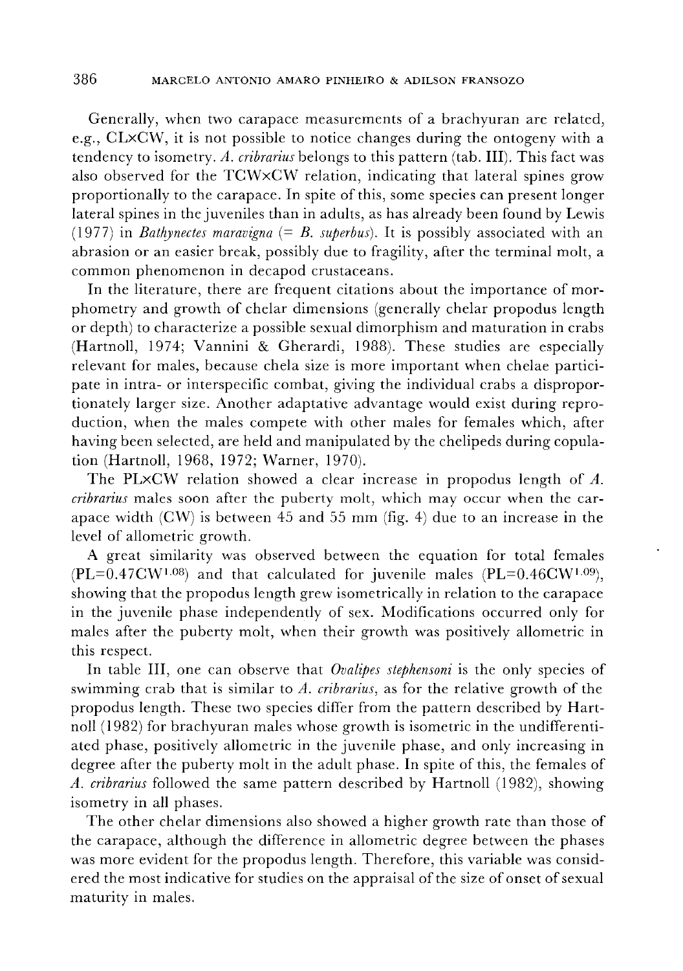Generally, when two carapace measurements of a brachyuran are related, e.g., CLxCW, it is not possible to notice changes during the ontogeny with a tendency to isometry. *A. cribrarius* belongs to this pattern (tab. III). This fact was also observed for the TCW×CW relation, indicating that lateral spines grow proportionally to the carapace. In spite of this, some species can present longer lateral spines in the juveniles than in adults, as has already been found by Lewis (1977) in *Bathynectes maravigna*  $(= B.$  *superbus*). It is possibly associated with an abrasion or an easier break, possibly due to fragility, after the terminal molt, a common phenomenon in decapod crustaceans.

In the literature, there are frequent citations about the importance of morphometry and growth of chelar dimensions (generally chelar propodus length or depth) to characterize a possible sexual dimorphism and maturation in crabs (Hartnoll, 1974; Vannini & Gherardi, 1988). These studies are especially relevant for males, because chela size is more important when chelae participate in intra- or interspecific combat, giving the individual crabs a disproportionately larger size. Another adaptative advantage would exist during reproduction, when the males compete with other males for females which, after having been selected, are held and manipulated by the chelipeds during copulation (Hartnoll, 1968, 1972; Warner, 1970).

The PLxCW relation showed a clear increase in propodus length of A. *cribrarius* males soon after the puberty molt, which may occur when the carapace width  $(CW)$  is between 45 and 55 mm (fig. 4) due to an increase in the level of allometric growth.

A great similarity was observed between the equation for total females  $(PL=0.47 \text{CW}^{1.08})$  and that calculated for juvenile males  $(PL=0.46 \text{CW}^{1.09})$ , showing that the propodus length grew isometrically in relation to the carapace in the juvenile phase independently of sex. Modifications occurred only for males after the puberty molt, when their growth was positively allometric in this respect.

In table III, one can observe that *Ovalipes stephensoni* is the only species of swimming crab that is similar to *A. cribrarius,* as for the relative growth of the propodus length. These two species differ from the pattern described by Hartnoll (1982) for brachyuran males whose growth is isometric in the undifferentiated phase, positively allometric in the juvenile phase, and only increasing in degree after the puberty molt in the adult phase. In spite of this, the females of *A. cribrarius* followed the same pattern described by Hartnoll (1982), showing isometry in all phases.

The other chelar dimensions also showed a higher growth rate than those of the carapace, although the difference in allometric degree between the phases was more evident for the propodus length. Therefore, this variable was considered the most indicative for studies on the appraisal of the size of onset of sexual maturity in males.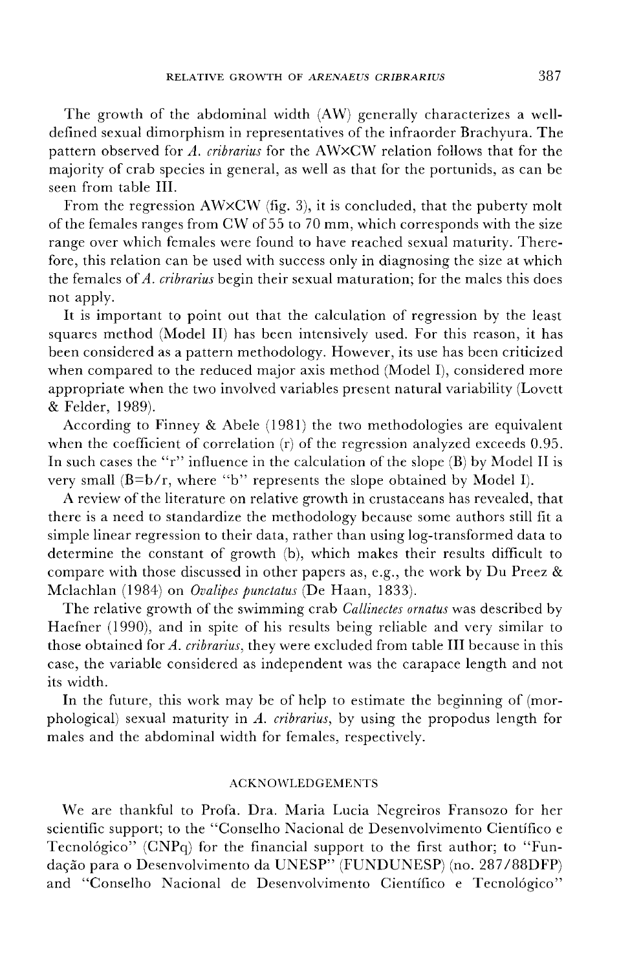The growth of the abdominal width (AW) generally characterizes a welldefined sexual dimorphism in representatives of the infraorder Brachyura. The pattern observed for *A. cribrarius* for the AWxCW relation follows that for the majority of crab species in general, as well as that for the portunids, as can be seen from table **III.**

From the regression AWxCW (fig. 3), it is concluded, that the puberty molt of the females ranges from CW of 55 to 70 mm, which corresponds with the size range over which females were found to have reached sexual maturity. Therefore, this relation can be used with success only in diagnosing the size at which the females of*A. cribrarius* begin their sexual maturation; for the males this does not apply.

It is important to point out that the calculation of regression by the least squares method (Model II) has been intensively used. For this reason, it has been considered as a pattern methodology. However, its use has been criticized when compared to the reduced major axis method (Model I), considered more appropriate when the two involved variables present natural variability (Lovett & Felder, 1989).

According to Finney & Abele (1981) the two methodologies are equivalent when the coefficient of correlation (r) of the regression analyzed exceeds 0.95. **In** such cases the "r" influence in the calculation of the slope (B) by Model II is very small (B=b/r, where "b" represents the slope obtained by Model I).

A review of the literature on relative growth in crustaceans has revealed, that there is a need to standardize the methodology because some authors still fit a simple linear regression to their data, rather than using log-transformed data to determine the constant of growth (b), which makes their results difficult to compare with those discussed in other papers as, e.g., the work by Du Preez & Mclachlan (1984) on *Ovalipes punctatus* (De Haan, 1833).

The relative growth of the swimming crab *Callinectes ornatus* was described by Haefner (1990), and in spite of his results being reliable and very similar to those obtained for *A. cribrarius,* they were excluded from table **III** because in this case, the variable considered as independent was the carapace length and not its width.

**In** the future, this work may be of help to estimate the beginning of (morphological) sexual maturity in *A. cribrarius,* by using the propodus length for males and the abdominal width for females, respectively.

## ACKNOWLEDGEMENTS

We are thankful to Profa. Dra. Maria Lucia Negreiros Fransozo for her scientific support; to the "Conselho Nacional de Desenvolvimento Cientifico e Tecnológico" (CNPq) for the financial support to the first author; to "Fundação para o Desenvolvimento da UNESP" (FUNDUNESP) (no. 287/88DFP) and "Conselho Nacional de Desenvolvimento Cientifico e Tecno16gico"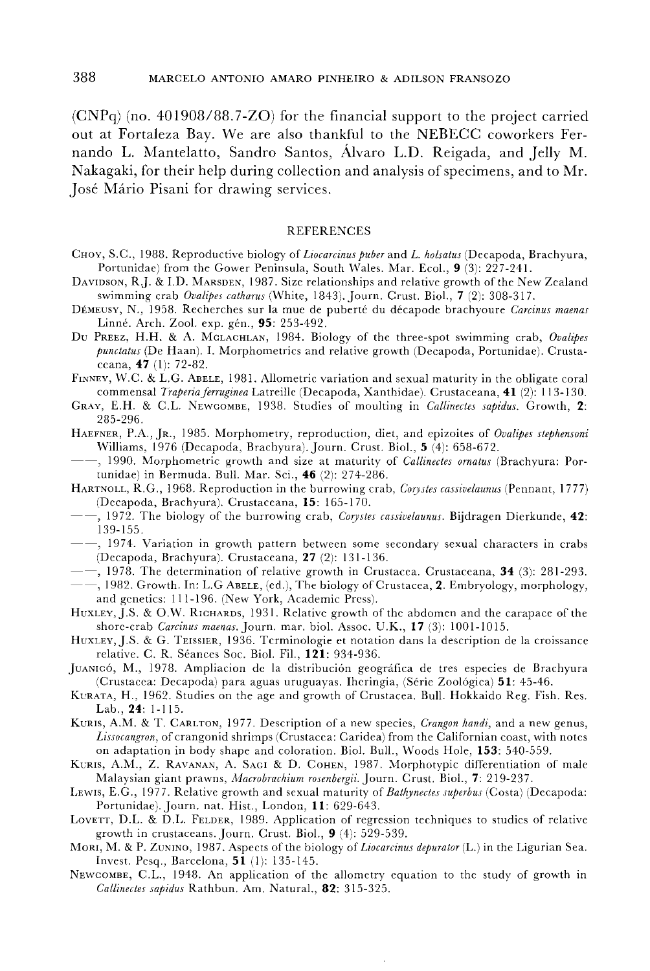$(CNPq)$  (no. 401908/88.7-ZO) for the financial support to the project carried out at Fortaleza Bay. We are also thankful to the NEBECC coworkers Fernando L. Mantelatto, Sandra Santos, Alvaro L.D. Reigada, and Jelly M. Nakagaki, for their help during collection and analysis of specimens, and to Mr. Jose Mario Pisani for drawing services.

#### REFERENCES

- CHOY, S.C., 1988. Reproductive biology of *Liocarcinus puber* and *L. holsatus* (Decapoda, Brachyura, Portunidae) from the Gower Peninsula, South Wales. Mar. Ecol., 9 (3): 227-241.
- DAVIDSON, RJ. & 1.D. MARSDEN, 1987. Size relationships and relative growth of the New Zealand swimming crab *Ovalipes catharus* (White, 1843). Journ. Crust. BioI., 7 (2): 308-317.
- DEMEUSY, *N.,* 1958. Recherches sur la mue de puberte du decapode brachyoure *Carcinus maenas* Linné. Arch. Zool. exp. gén., 95: 253-492.
- Du PREEZ, H.H. & A. MCLACHLAN, 1984. Biology of the three-spot swimming crab, *Ovalipes punctatus* (De Haan). 1. Morphometrics and relative growth (Decapoda, Portunidae). Crustaceana, 47 (I): 72-82.
- FINNEY, W.C. & L.G. ABELE, 1981. Allometric variation and sexual maturity in the obligate coral commensal *Traperia ferruginea* Latreille (Decapoda, Xanthidae). Crustaceana, 41 (2): 113-130.
- GRAY, E.H. & C.L. NEWCOMBE, 1938. Studies of moulting in *Callinectes sapidus.* Growth, 2: 285-296.
- HAEFNER, P.A., JR., 1985. Morphometry, reproduction, diet, and epizoites of *Ovalipes stephensoni* Williams, 1976 (Decapoda, Brachyura). Journ. Crust. BioI., 5 (4): 658-672.
- --, 1990. Morphometric growth and size at maturity of *Callineetes ornatus* (Brachyura: Portunidae) in Bermuda. Bull. Mar. Sci., 46 (2): 274-286.
- HARTNOLL, R.G., 1968. Reproduction in the burrowing crab, *Corystes cassivelaunus* (Pennant, 1777) (Decapoda, Brachyura). Crustaceana, 15: 165-170.
- --, 1972. The biology of the burrowing crab, *Corystes cassivelaunus.* Bijdragen Dierkunde, 42: 139-155.
- --, 1974. Variation in growth pattern between some secondary sexual characters in crabs (Decapoda, Brachyura). Crustaceana, 27 (2): 131-136.
- -, 1978. The determination of relative growth in Crustacea. Crustaceana, 34 (3): 281-293.
- -, 1982. Growth. In: L.G ABELE, (ed.), The biology of Crustacea, 2. Embryology, morphology, and genetics: 111-196. (New York, Academic Press).
- HUXLEY, J.S. & O.W. RICHARDS, 1931. Relative growth of the abdomen and the carapace of the shore-crab *Carcinus maenas.Journ.* mar. bioI. Assoc. U.K., 17 (3): 1001-1015.
- HUXLEY, J.S. & G. TEISSIER, 1936. Terminologie et notation dans la description de la croissance relative. C. R. Seances Soc. BioI. Fil., 121: 934-936.
- JUANICÓ, M., 1978. Ampliacion de la distribución geográfica de tres especies de Brachyura (Crustacea: Decapoda) para aguas uruguayas. Iheringia, (Serie Zoologica) 51: 45-46.
- KVRATA, H., 1962. Studies on the age and growth of Crustacea. Bull. Hokkaido Reg. Fish. Res. Lab., 24: 1-115.
- KURIS, A.M. & T. CARLTON, 1977. Description ofa new species, *Crangon handi,* and a new genus, *Lissocangron,* of crangonid shrimps (Crustacea: Caridea) from the Californian coast, with notes on adaptation in body shape and coloration. BioI. Bull., Woods Hole, 153: 540-559.
- KURIS, A.M., Z. RAVANAN, A. SAGI & D. COHEN, 1987. Morphotypic differentiation of male Malaysian giant prawns, *Macrobrachium rosenbergii.* Journ. Crust. BioI., 7: 219-237.
- LEWIS, E.G., 1977. Relative growth and sexual maturity of *Bathynectes superbus* (Costa) (Decapoda: Portunidae). Journ. nat. Hist., London, **11:** 629-643.
- LOVETT, D.L. & D.L. FELDER, 1989. Application of regression techniques to studies of relative growth in crustaceans. Journ. Crust. BioI., 9 (4): 529-539.
- MORI, M. & P. ZUNINO, 1987. Aspects of the biology of *Liocarcinus depurator* (I..) in the Ligurian Sea. Invest. Pesq., Barcelona, 51 (I): 135-145.
- NEWCOMBE, C.L., 1948. An application of the allometry equation to the study of growth in *Callinectes sapidus* Rathbun. Am. Natural., 82: 315-325.